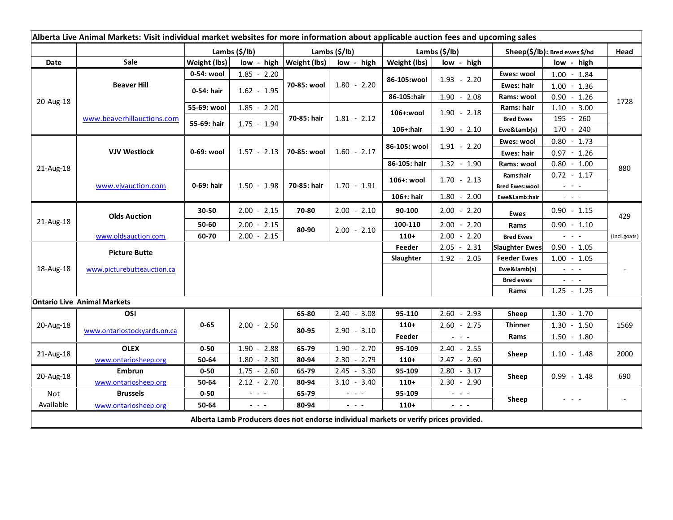| Alberta Live Animal Markets: Visit individual market websites for more information about applicable auction fees and upcoming sales |                                    |                           |               |                                                                                                                           |                             |               |                           |                                             |                               |                                                                                                                                                       |              |
|-------------------------------------------------------------------------------------------------------------------------------------|------------------------------------|---------------------------|---------------|---------------------------------------------------------------------------------------------------------------------------|-----------------------------|---------------|---------------------------|---------------------------------------------|-------------------------------|-------------------------------------------------------------------------------------------------------------------------------------------------------|--------------|
|                                                                                                                                     |                                    | Lambs $(\frac{2}{3})$ lb) |               |                                                                                                                           | Lambs (\$/lb)               |               | Lambs $(\frac{2}{3})$ lb) |                                             | Sheep(\$/lb): Bred ewes \$/hd |                                                                                                                                                       | Head         |
| Date                                                                                                                                | Sale                               | Weight (lbs)              |               |                                                                                                                           | $low - high$   Weight (lbs) | low - high    | Weight (lbs)              | low - high                                  |                               | low - high                                                                                                                                            |              |
| 20-Aug-18                                                                                                                           | <b>Beaver Hill</b>                 | 0-54: wool                |               | $1.85 - 2.20$                                                                                                             | 70-85: wool                 | $1.80 - 2.20$ | 86-105:wool               | $1.93 - 2.20$                               | Ewes: wool                    | $1.00 - 1.84$                                                                                                                                         | 1728         |
|                                                                                                                                     |                                    | 0-54: hair                | $1.62 - 1.95$ |                                                                                                                           |                             |               |                           |                                             | Ewes: hair                    | 1.00<br>$-1.36$                                                                                                                                       |              |
|                                                                                                                                     |                                    |                           |               |                                                                                                                           |                             |               | 86-105:hair               | $1.90 - 2.08$                               | Rams: wool                    | 0.90<br>$-1.26$                                                                                                                                       |              |
|                                                                                                                                     | www.beaverhillauctions.com         | 55-69: wool               |               | $1.85 - 2.20$                                                                                                             | 70-85: hair                 | $1.81 - 2.12$ | 106+:wool                 | $1.90 - 2.18$                               | Rams: hair                    | 1.10<br>$-3.00$                                                                                                                                       |              |
|                                                                                                                                     |                                    | 55-69: hair               | $1.75 - 1.94$ |                                                                                                                           |                             |               |                           |                                             | <b>Bred Ewes</b>              | 195<br>$-260$                                                                                                                                         |              |
|                                                                                                                                     |                                    |                           |               |                                                                                                                           |                             |               | 106+:hair                 | $1.90 - 2.10$                               | Ewe&Lamb(s)                   | 170 - 240                                                                                                                                             |              |
| 21-Aug-18                                                                                                                           | <b>VJV Westlock</b>                | 0-69: wool                | $1.57 - 2.13$ |                                                                                                                           | 70-85: wool                 | $1.60 - 2.17$ | 86-105: wool              | $1.91 - 2.20$                               | Ewes: wool                    | $0.80 - 1.73$                                                                                                                                         |              |
|                                                                                                                                     |                                    |                           |               |                                                                                                                           |                             |               |                           |                                             | <b>Ewes: hair</b>             | $0.97 - 1.26$                                                                                                                                         |              |
|                                                                                                                                     |                                    |                           |               |                                                                                                                           |                             |               | 86-105: hair              | $1.32 - 1.90$                               | Rams: wool                    | $0.80 - 1.00$                                                                                                                                         | 880          |
|                                                                                                                                     | www.vjvauction.com                 | 0-69: hair                | $1.50 - 1.98$ |                                                                                                                           | 70-85: hair                 | $1.70 - 1.91$ | 106+: wool                | $1.70 - 2.13$                               | Rams:hair                     | $0.72 - 1.17$                                                                                                                                         |              |
|                                                                                                                                     |                                    |                           |               |                                                                                                                           |                             |               |                           |                                             | <b>Bred Ewes:wool</b>         | $\omega_{\rm{eff}}$ and $\omega_{\rm{eff}}$                                                                                                           |              |
|                                                                                                                                     |                                    |                           |               |                                                                                                                           |                             |               | 106+: hair                | $1.80 - 2.00$                               | Ewe&Lamb:hair                 | $\omega_{\rm{eff}}$ and $\omega_{\rm{eff}}$                                                                                                           |              |
| 21-Aug-18                                                                                                                           | <b>Olds Auction</b>                | 30-50                     |               | $2.00 - 2.15$                                                                                                             | 70-80                       | $2.00 - 2.10$ | 90-100                    | $2.00 - 2.20$                               | <b>Ewes</b>                   | $0.90 - 1.15$                                                                                                                                         | 429          |
|                                                                                                                                     |                                    | 50-60                     |               | $2.00 - 2.15$                                                                                                             | 80-90                       | $2.00 - 2.10$ | 100-110                   | $2.00 - 2.20$                               | Rams                          | $0.90 - 1.10$                                                                                                                                         |              |
|                                                                                                                                     | www.oldsauction.com                | 60-70                     |               | $2.00 - 2.15$                                                                                                             |                             |               | $110+$                    | $2.00 - 2.20$                               | <b>Bred Ewes</b>              | $\omega_{\rm{eff}}$ and $\omega_{\rm{eff}}$                                                                                                           | (incl.goats) |
| 18-Aug-18                                                                                                                           | <b>Picture Butte</b>               |                           |               |                                                                                                                           |                             |               | Feeder                    | 2.05<br>$-2.31$                             | <b>Slaughter Ewes</b>         | $0.90 - 1.05$                                                                                                                                         |              |
|                                                                                                                                     |                                    |                           |               |                                                                                                                           |                             |               | Slaughter                 | $1.92 - 2.05$                               | <b>Feeder Ewes</b>            | $1.00 - 1.05$                                                                                                                                         |              |
|                                                                                                                                     | www.picturebutteauction.ca         |                           |               |                                                                                                                           |                             |               |                           |                                             | Ewe&lamb(s)                   | $\omega_{\rm{eff}}$ and $\omega_{\rm{eff}}$                                                                                                           |              |
|                                                                                                                                     |                                    |                           |               |                                                                                                                           |                             |               |                           |                                             | <b>Bred ewes</b>              | $\frac{1}{2} \left( \frac{1}{2} \right) \left( \frac{1}{2} \right) \left( \frac{1}{2} \right) \left( \frac{1}{2} \right)$                             |              |
|                                                                                                                                     |                                    |                           |               |                                                                                                                           |                             |               |                           |                                             | Rams                          | $1.25 - 1.25$                                                                                                                                         |              |
|                                                                                                                                     | <b>Ontario Live Animal Markets</b> |                           |               |                                                                                                                           |                             |               |                           |                                             |                               |                                                                                                                                                       |              |
| 20-Aug-18                                                                                                                           | OSI                                | $0 - 65$                  | $2.00 - 2.50$ |                                                                                                                           | 65-80                       | $2.40 - 3.08$ | 95-110                    | $2.60 - 2.93$                               | Sheep                         | $1.30 - 1.70$                                                                                                                                         | 1569         |
|                                                                                                                                     | www.ontariostockyards.on.ca        |                           |               |                                                                                                                           | 80-95                       | $2.90 - 3.10$ | $110+$                    | $2.60 - 2.75$                               | <b>Thinner</b>                | $1.30 - 1.50$                                                                                                                                         |              |
|                                                                                                                                     |                                    |                           |               |                                                                                                                           |                             |               | Feeder                    | $  -$                                       | Rams                          | $1.50 - 1.80$                                                                                                                                         |              |
| 21-Aug-18                                                                                                                           | <b>OLEX</b>                        | $0 - 50$                  |               | $1.90 - 2.88$                                                                                                             | 65-79                       | $1.90 - 2.70$ | 95-109                    | $2.40 - 2.55$                               | Sheep                         | $1.10 - 1.48$                                                                                                                                         | 2000         |
|                                                                                                                                     | www.ontariosheep.org               | 50-64                     |               | $1.80 - 2.30$                                                                                                             | 80-94                       | $2.30 - 2.79$ | $110+$                    | $2.47 - 2.60$                               |                               |                                                                                                                                                       |              |
| 20-Aug-18                                                                                                                           | Embrun                             | $0 - 50$                  |               | $1.75 - 2.60$                                                                                                             | 65-79                       | $2.45 - 3.30$ | 95-109                    | $2.80 - 3.17$                               | Sheep                         | $0.99 - 1.48$                                                                                                                                         | 690          |
|                                                                                                                                     | www.ontariosheep.org               | 50-64                     |               | $2.12 - 2.70$                                                                                                             | 80-94                       | $3.10 - 3.40$ | $110+$                    | $2.30 - 2.90$                               |                               |                                                                                                                                                       |              |
| Not                                                                                                                                 | <b>Brussels</b>                    | $0 - 50$                  |               | $\frac{1}{2} \left( \frac{1}{2} \right) \left( \frac{1}{2} \right) \left( \frac{1}{2} \right) \left( \frac{1}{2} \right)$ | 65-79                       | $  -$         | 95-109                    | $\omega_{\rm{max}}$ and $\omega_{\rm{max}}$ | Sheep                         | $\frac{1}{2} \left( \frac{1}{2} \right) \left( \frac{1}{2} \right) \left( \frac{1}{2} \right) \left( \frac{1}{2} \right)$<br>$\overline{\phantom{a}}$ |              |
| Available                                                                                                                           | www.ontariosheep.org               | 50-64                     |               | $\frac{1}{2} \left( \frac{1}{2} \right) \left( \frac{1}{2} \right) \left( \frac{1}{2} \right) \left( \frac{1}{2} \right)$ | 80-94                       | $ -$          | $110+$                    | $  -$                                       |                               |                                                                                                                                                       |              |
| Alberta Lamb Producers does not endorse individual markets or verify prices provided.                                               |                                    |                           |               |                                                                                                                           |                             |               |                           |                                             |                               |                                                                                                                                                       |              |